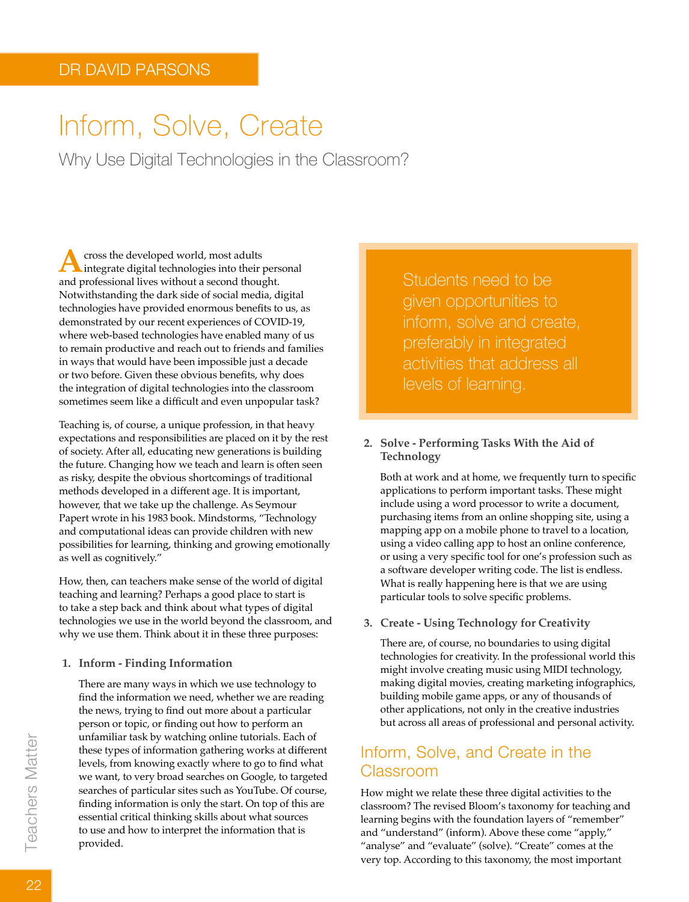# Inform, Solve, Create

Why Use Digital Technologies in the Classroom?

Across the developed world, most adults<br>
integrate digital technologies into their personal<br>
and prefeccional lives without a second thought and professional lives without a second thought. Notwithstanding the dark side of social media, digital technologies have provided enormous benefits to us, as demonstrated by our recent experiences of COVID-19, where web-based technologies have enabled many of us to remain productive and reach out to friends and families in ways that would have been impossible just a decade or two before. Given these obvious benefits, why does the integration of digital technologies into the classroom sometimes seem like a difficult and even unpopular task?

Teaching is, of course, a unique profession, in that heavy expectations and responsibilities are placed on it by the rest of society. After all, educating new generations is building the future. Changing how we teach and learn is often seen as risky, despite the obvious shortcomings of traditional methods developed in a different age. It is important, however, that we take up the challenge. As Seymour Papert wrote in his 1983 book. Mindstorms, "Technology and computational ideas can provide children with new possibilities for learning, thinking and growing emotionally as well as cognitively."

How, then, can teachers make sense of the world of digital teaching and learning? Perhaps a good place to start is to take a step back and think about what types of digital technologies we use in the world beyond the classroom, and why we use them. Think about it in these three purposes:

**1. Inform - Finding Information**

There are many ways in which we use technology to find the information we need, whether we are reading the news, trying to find out more about a particular person or topic, or finding out how to perform an unfamiliar task by watching online tutorials. Each of these types of information gathering works at different levels, from knowing exactly where to go to find what we want, to very broad searches on Google, to targeted searches of particular sites such as YouTube. Of course, finding information is only the start. On top of this are essential critical thinking skills about what sources to use and how to interpret the information that is provided.

Students need to be given opportunities to inform, solve and create, preferably in integrated activities that address all levels of learning.

#### **2. Solve - Performing Tasks With the Aid of Technology**

Both at work and at home, we frequently turn to specific applications to perform important tasks. These might include using a word processor to write a document, purchasing items from an online shopping site, using a mapping app on a mobile phone to travel to a location, using a video calling app to host an online conference, or using a very specific tool for one's profession such as a software developer writing code. The list is endless. What is really happening here is that we are using particular tools to solve specific problems.

#### **3. Create - Using Technology for Creativity**

There are, of course, no boundaries to using digital technologies for creativity. In the professional world this might involve creating music using MIDI technology, making digital movies, creating marketing infographics, building mobile game apps, or any of thousands of other applications, not only in the creative industries but across all areas of professional and personal activity.

## Inform, Solve, and Create in the Classroom

How might we relate these three digital activities to the classroom? The revised Bloom's taxonomy for teaching and learning begins with the foundation layers of "remember" and "understand" (inform). Above these come "apply," "analyse" and "evaluate" (solve). "Create" comes at the very top. According to this taxonomy, the most important